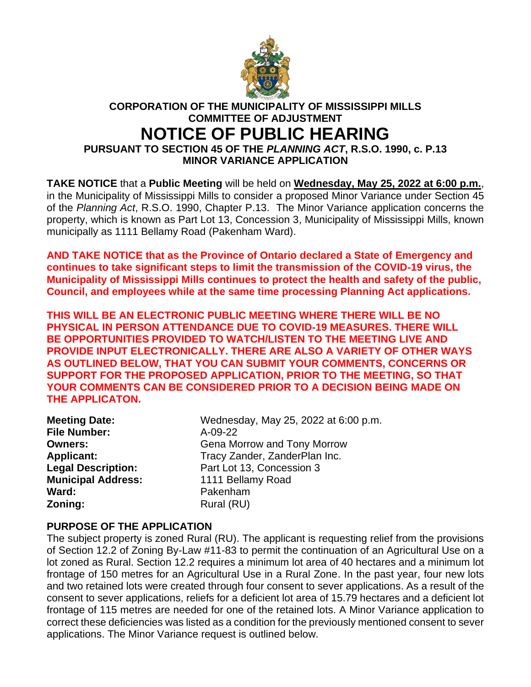

## **CORPORATION OF THE MUNICIPALITY OF MISSISSIPPI MILLS COMMITTEE OF ADJUSTMENT NOTICE OF PUBLIC HEARING PURSUANT TO SECTION 45 OF THE** *PLANNING ACT***, R.S.O. 1990, c. P.13 MINOR VARIANCE APPLICATION**

**TAKE NOTICE** that a **Public Meeting** will be held on **Wednesday, May 25, 2022 at 6:00 p.m.**, in the Municipality of Mississippi Mills to consider a proposed Minor Variance under Section 45 of the *Planning Act*, R.S.O. 1990, Chapter P.13. The Minor Variance application concerns the property, which is known as Part Lot 13, Concession 3, Municipality of Mississippi Mills, known municipally as 1111 Bellamy Road (Pakenham Ward).

**AND TAKE NOTICE that as the Province of Ontario declared a State of Emergency and continues to take significant steps to limit the transmission of the COVID-19 virus, the Municipality of Mississippi Mills continues to protect the health and safety of the public, Council, and employees while at the same time processing Planning Act applications.**

**THIS WILL BE AN ELECTRONIC PUBLIC MEETING WHERE THERE WILL BE NO PHYSICAL IN PERSON ATTENDANCE DUE TO COVID-19 MEASURES. THERE WILL BE OPPORTUNITIES PROVIDED TO WATCH/LISTEN TO THE MEETING LIVE AND PROVIDE INPUT ELECTRONICALLY. THERE ARE ALSO A VARIETY OF OTHER WAYS AS OUTLINED BELOW, THAT YOU CAN SUBMIT YOUR COMMENTS, CONCERNS OR SUPPORT FOR THE PROPOSED APPLICATION, PRIOR TO THE MEETING, SO THAT YOUR COMMENTS CAN BE CONSIDERED PRIOR TO A DECISION BEING MADE ON THE APPLICATON.**

| <b>Meeting Date:</b>      |
|---------------------------|
| <b>File Number:</b>       |
| <b>Owners:</b>            |
| <b>Applicant:</b>         |
| <b>Legal Description:</b> |
| <b>Municipal Address:</b> |
| Ward:                     |
| Zoning:                   |

Wednesday, May 25, 2022 at 6:00 p.m. **File Number:** A-09-22 Gena Morrow and Tony Morrow **Tracy Zander, ZanderPlan Inc.** Part Lot 13, Concession 3 **Municipal Address:** 1111 Bellamy Road **Ward:** Pakenham **Zoning:** Rural (RU)

## **PURPOSE OF THE APPLICATION**

The subject property is zoned Rural (RU). The applicant is requesting relief from the provisions of Section 12.2 of Zoning By-Law #11-83 to permit the continuation of an Agricultural Use on a lot zoned as Rural. Section 12.2 requires a minimum lot area of 40 hectares and a minimum lot frontage of 150 metres for an Agricultural Use in a Rural Zone. In the past year, four new lots and two retained lots were created through four consent to sever applications. As a result of the consent to sever applications, reliefs for a deficient lot area of 15.79 hectares and a deficient lot frontage of 115 metres are needed for one of the retained lots. A Minor Variance application to correct these deficiencies was listed as a condition for the previously mentioned consent to sever applications. The Minor Variance request is outlined below.